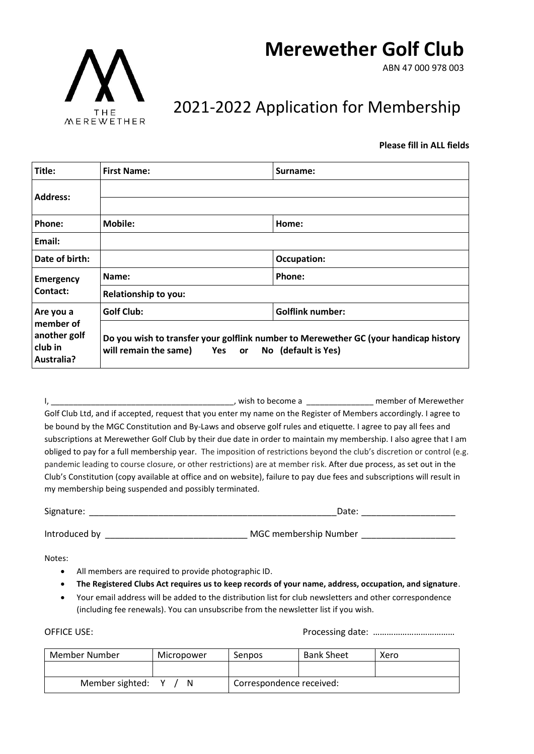# **Merewether Golf Club**

ABN 47 000 978 003



## 2021-2022 Application for Membership

#### **Please fill in ALL fields**

| Title:                                                                 | <b>First Name:</b>                                                                                                                             | Surname:                |  |
|------------------------------------------------------------------------|------------------------------------------------------------------------------------------------------------------------------------------------|-------------------------|--|
| <b>Address:</b>                                                        |                                                                                                                                                |                         |  |
|                                                                        |                                                                                                                                                |                         |  |
| Phone:                                                                 | <b>Mobile:</b>                                                                                                                                 | Home:                   |  |
| Email:                                                                 |                                                                                                                                                |                         |  |
| Date of birth:                                                         |                                                                                                                                                | Occupation:             |  |
| <b>Emergency</b><br>Contact:                                           | Name:                                                                                                                                          | Phone:                  |  |
|                                                                        | Relationship to you:                                                                                                                           |                         |  |
| Are you a<br>member of<br>another golf<br>club in<br><b>Australia?</b> | <b>Golf Club:</b>                                                                                                                              | <b>Golflink number:</b> |  |
|                                                                        | Do you wish to transfer your golflink number to Merewether GC (your handicap history<br>will remain the same) Yes<br>No (default is Yes)<br>or |                         |  |

I, \_\_\_\_\_\_\_\_\_\_\_\_\_\_\_\_\_\_\_\_\_\_\_\_\_\_\_\_\_\_\_\_\_\_\_\_\_\_\_\_\_, wish to become a \_\_\_\_\_\_\_\_\_\_\_\_\_\_\_ member of Merewether Golf Club Ltd, and if accepted, request that you enter my name on the Register of Members accordingly. I agree to be bound by the MGC Constitution and By-Laws and observe golf rules and etiquette. I agree to pay all fees and subscriptions at Merewether Golf Club by their due date in order to maintain my membership. I also agree that I am obliged to pay for a full membership year. The imposition of restrictions beyond the club's discretion or control (e.g. pandemic leading to course closure, or other restrictions) are at member risk. After due process, as set out in the Club's Constitution (copy available at office and on website), failure to pay due fees and subscriptions will result in my membership being suspended and possibly terminated.

| Signature:    | Date                  |  |  |
|---------------|-----------------------|--|--|
|               |                       |  |  |
| Introduced by | MGC membership Number |  |  |

Notes:

- All members are required to provide photographic ID.
- **The Registered Clubs Act requires us to keep records of your name, address, occupation, and signature**.
- Your email address will be added to the distribution list for club newsletters and other correspondence (including fee renewals). You can unsubscribe from the newsletter list if you wish.

OFFICE USE: Processing date: ………………………………

| Member Number   | Micropower | Senpos                   | <b>Bank Sheet</b> | Xero |
|-----------------|------------|--------------------------|-------------------|------|
|                 |            |                          |                   |      |
| Member sighted: |            | Correspondence received: |                   |      |